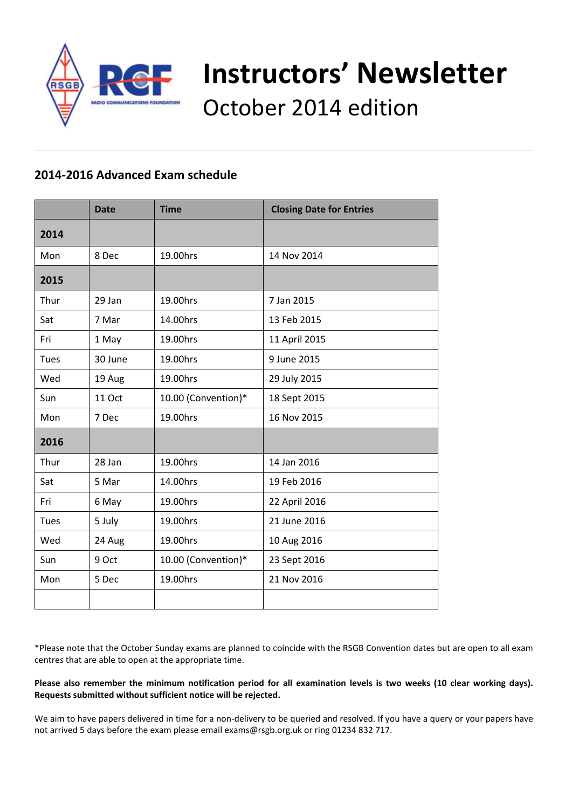

# **Instructors' Newsletter** October 2014 edition

# **2014‐2016 Advanced Exam schedule**

|      | <b>Date</b> | <b>Time</b>         | <b>Closing Date for Entries</b> |
|------|-------------|---------------------|---------------------------------|
| 2014 |             |                     |                                 |
| Mon  | 8 Dec       | 19.00hrs            | 14 Nov 2014                     |
| 2015 |             |                     |                                 |
| Thur | 29 Jan      | 19.00hrs            | 7 Jan 2015                      |
| Sat  | 7 Mar       | 14.00hrs            | 13 Feb 2015                     |
| Fri  | 1 May       | 19.00hrs            | 11 April 2015                   |
| Tues | 30 June     | 19.00hrs            | 9 June 2015                     |
| Wed  | 19 Aug      | 19.00hrs            | 29 July 2015                    |
| Sun  | 11 Oct      | 10.00 (Convention)* | 18 Sept 2015                    |
| Mon  | 7 Dec       | 19.00hrs            | 16 Nov 2015                     |
| 2016 |             |                     |                                 |
| Thur | 28 Jan      | 19.00hrs            | 14 Jan 2016                     |
| Sat  | 5 Mar       | 14.00hrs            | 19 Feb 2016                     |
| Fri  | 6 May       | 19.00hrs            | 22 April 2016                   |
| Tues | 5 July      | 19.00hrs            | 21 June 2016                    |
| Wed  | 24 Aug      | 19.00hrs            | 10 Aug 2016                     |
| Sun  | 9 Oct       | 10.00 (Convention)* | 23 Sept 2016                    |
| Mon  | 5 Dec       | 19.00hrs            | 21 Nov 2016                     |
|      |             |                     |                                 |

\*Please note that the October Sunday exams are planned to coincide with the RSGB Convention dates but are open to all exam centres that are able to open at the appropriate time.

#### Please also remember the minimum notification period for all examination levels is two weeks (10 clear working days). **Requests submitted without sufficient notice will be rejected.**

We aim to have papers delivered in time for a non-delivery to be queried and resolved. If you have a query or your papers have not arrived 5 days before the exam please email exams@rsgb.org.uk or ring 01234 832 717.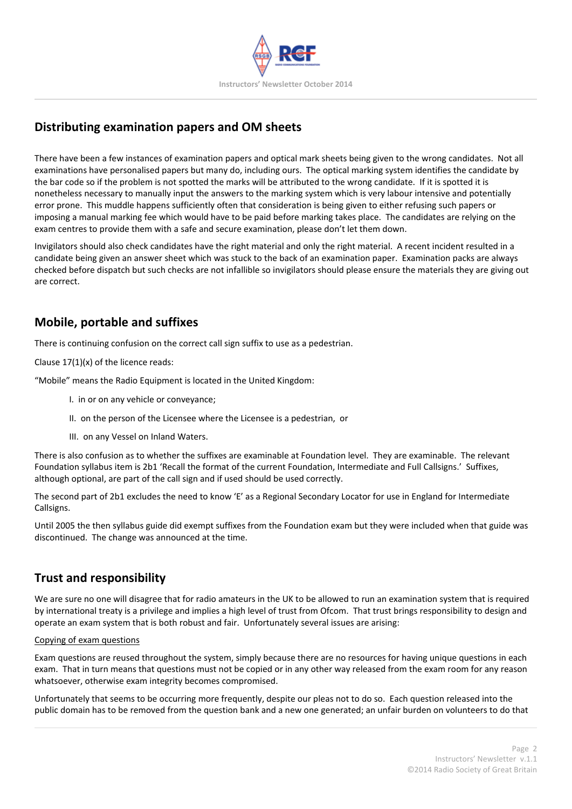

# **Distributing examination papers and OM sheets**

There have been a few instances of examination papers and optical mark sheets being given to the wrong candidates. Not all examinations have personalised papers but many do, including ours. The optical marking system identifies the candidate by the bar code so if the problem is not spotted the marks will be attributed to the wrong candidate. If it is spotted it is nonetheless necessary to manually input the answers to the marking system which is very labour intensive and potentially error prone. This muddle happens sufficiently often that consideration is being given to either refusing such papers or imposing a manual marking fee which would have to be paid before marking takes place. The candidates are relying on the exam centres to provide them with a safe and secure examination, please don't let them down.

Invigilators should also check candidates have the right material and only the right material. A recent incident resulted in a candidate being given an answer sheet which was stuck to the back of an examination paper. Examination packs are always checked before dispatch but such checks are not infallible so invigilators should please ensure the materials they are giving out are correct.

# **Mobile, portable and suffixes**

There is continuing confusion on the correct call sign suffix to use as a pedestrian.

Clause  $17(1)(x)$  of the licence reads:

"Mobile" means the Radio Equipment is located in the United Kingdom:

- I. in or on any vehicle or conveyance;
- II. on the person of the Licensee where the Licensee is a pedestrian, or
- III. on any Vessel on Inland Waters.

There is also confusion as to whether the suffixes are examinable at Foundation level. They are examinable. The relevant Foundation syllabus item is 2b1 'Recall the format of the current Foundation, Intermediate and Full Callsigns.' Suffixes, although optional, are part of the call sign and if used should be used correctly.

The second part of 2b1 excludes the need to know 'E' as a Regional Secondary Locator for use in England for Intermediate Callsigns.

Until 2005 the then syllabus guide did exempt suffixes from the Foundation exam but they were included when that guide was discontinued. The change was announced at the time.

## **Trust and responsibility**

We are sure no one will disagree that for radio amateurs in the UK to be allowed to run an examination system that is required by international treaty is a privilege and implies a high level of trust from Ofcom. That trust brings responsibility to design and operate an exam system that is both robust and fair. Unfortunately several issues are arising:

#### Copying of exam questions

Exam questions are reused throughout the system, simply because there are no resources for having unique questions in each exam. That in turn means that questions must not be copied or in any other way released from the exam room for any reason whatsoever, otherwise exam integrity becomes compromised.

Unfortunately that seems to be occurring more frequently, despite our pleas not to do so. Each question released into the public domain has to be removed from the question bank and a new one generated; an unfair burden on volunteers to do that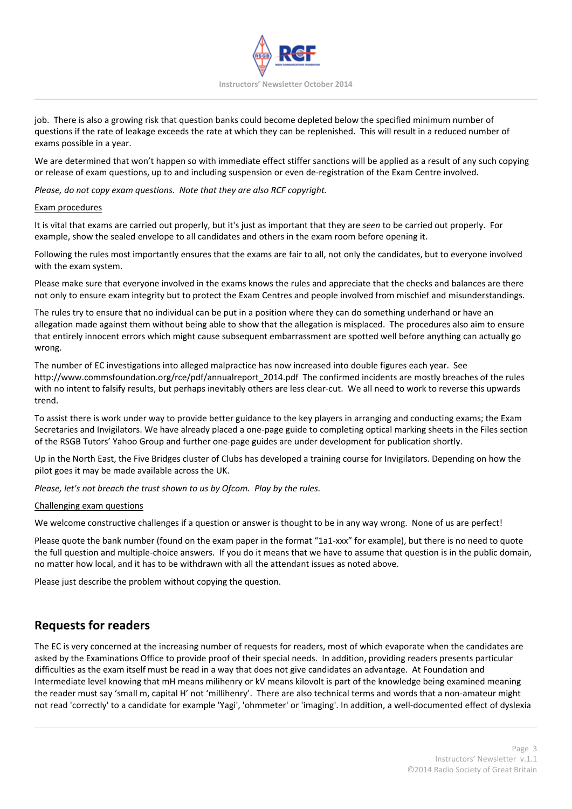

job. There is also a growing risk that question banks could become depleted below the specified minimum number of questions if the rate of leakage exceeds the rate at which they can be replenished. This will result in a reduced number of exams possible in a year.

We are determined that won't happen so with immediate effect stiffer sanctions will be applied as a result of any such copying or release of exam questions, up to and including suspension or even de‐registration of the Exam Centre involved.

*Please, do not copy exam questions. Note that they are also RCF copyright.*

#### Exam procedures

It is vital that exams are carried out properly, but it's just as important that they are *seen* to be carried out properly. For example, show the sealed envelope to all candidates and others in the exam room before opening it.

Following the rules most importantly ensures that the exams are fair to all, not only the candidates, but to everyone involved with the exam system.

Please make sure that everyone involved in the exams knows the rules and appreciate that the checks and balances are there not only to ensure exam integrity but to protect the Exam Centres and people involved from mischief and misunderstandings.

The rules try to ensure that no individual can be put in a position where they can do something underhand or have an allegation made against them without being able to show that the allegation is misplaced. The procedures also aim to ensure that entirely innocent errors which might cause subsequent embarrassment are spotted well before anything can actually go wrong.

The number of EC investigations into alleged malpractice has now increased into double figures each year. See http://www.commsfoundation.org/rce/pdf/annualreport\_2014.pdf The confirmed incidents are mostly breaches of the rules with no intent to falsify results, but perhaps inevitably others are less clear‐cut. We all need to work to reverse this upwards trend.

To assist there is work under way to provide better guidance to the key players in arranging and conducting exams; the Exam Secretaries and Invigilators. We have already placed a one‐page guide to completing optical marking sheets in the Files section of the RSGB Tutors' Yahoo Group and further one‐page guides are under development for publication shortly.

Up in the North East, the Five Bridges cluster of Clubs has developed a training course for Invigilators. Depending on how the pilot goes it may be made available across the UK.

*Please, let's not breach the trust shown to us by Ofcom. Play by the rules.*

#### Challenging exam questions

We welcome constructive challenges if a question or answer is thought to be in any way wrong. None of us are perfect!

Please quote the bank number (found on the exam paper in the format "1a1‐xxx" for example), but there is no need to quote the full question and multiple‐choice answers. If you do it means that we have to assume that question is in the public domain, no matter how local, and it has to be withdrawn with all the attendant issues as noted above.

Please just describe the problem without copying the question.

## **Requests for readers**

The EC is very concerned at the increasing number of requests for readers, most of which evaporate when the candidates are asked by the Examinations Office to provide proof of their special needs. In addition, providing readers presents particular difficulties as the exam itself must be read in a way that does not give candidates an advantage. At Foundation and Intermediate level knowing that mH means milihenry or kV means kilovolt is part of the knowledge being examined meaning the reader must say 'small m, capital H' not 'millihenry'. There are also technical terms and words that a non-amateur might not read 'correctly' to a candidate for example 'Yagi', 'ohmmeter' or 'imaging'. In addition, a well‐documented effect of dyslexia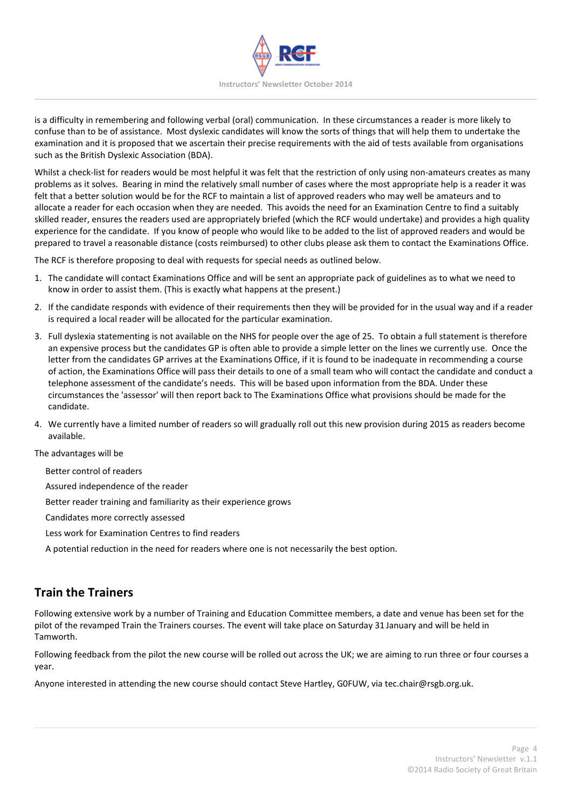

is a difficulty in remembering and following verbal (oral) communication. In these circumstances a reader is more likely to confuse than to be of assistance. Most dyslexic candidates will know the sorts of things that will help them to undertake the examination and it is proposed that we ascertain their precise requirements with the aid of tests available from organisations such as the British Dyslexic Association (BDA).

Whilst a check-list for readers would be most helpful it was felt that the restriction of only using non-amateurs creates as many problems as it solves. Bearing in mind the relatively small number of cases where the most appropriate help is a reader it was felt that a better solution would be for the RCF to maintain a list of approved readers who may well be amateurs and to allocate a reader for each occasion when they are needed. This avoids the need for an Examination Centre to find a suitably skilled reader, ensures the readers used are appropriately briefed (which the RCF would undertake) and provides a high quality experience for the candidate. If you know of people who would like to be added to the list of approved readers and would be prepared to travel a reasonable distance (costs reimbursed) to other clubs please ask them to contact the Examinations Office.

The RCF is therefore proposing to deal with requests for special needs as outlined below.

- 1. The candidate will contact Examinations Office and will be sent an appropriate pack of guidelines as to what we need to know in order to assist them. (This is exactly what happens at the present.)
- 2. If the candidate responds with evidence of their requirements then they will be provided for in the usual way and if a reader is required a local reader will be allocated for the particular examination.
- 3. Full dyslexia statementing is not available on the NHS for people over the age of 25. To obtain a full statement is therefore an expensive process but the candidates GP is often able to provide a simple letter on the lines we currently use. Once the letter from the candidates GP arrives at the Examinations Office, if it is found to be inadequate in recommending a course of action, the Examinations Office will pass their details to one of a small team who will contact the candidate and conduct a telephone assessment of the candidate's needs. This will be based upon information from the BDA. Under these circumstances the 'assessor' will then report back to The Examinations Office what provisions should be made for the candidate.
- 4. We currently have a limited number of readers so will gradually roll out this new provision during 2015 as readers become available.

The advantages will be

Better control of readers

Assured independence of the reader

Better reader training and familiarity as their experience grows

Candidates more correctly assessed

- Less work for Examination Centres to find readers
- A potential reduction in the need for readers where one is not necessarily the best option.

## **Train the Trainers**

Following extensive work by a number of Training and Education Committee members, a date and venue has been set for the pilot of the revamped Train the Trainers courses. The event will take place on Saturday 31 January and will be held in Tamworth.

Following feedback from the pilot the new course will be rolled out across the UK; we are aiming to run three or four courses a year.

Anyone interested in attending the new course should contact Steve Hartley, G0FUW, via tec.chair@rsgb.org.uk.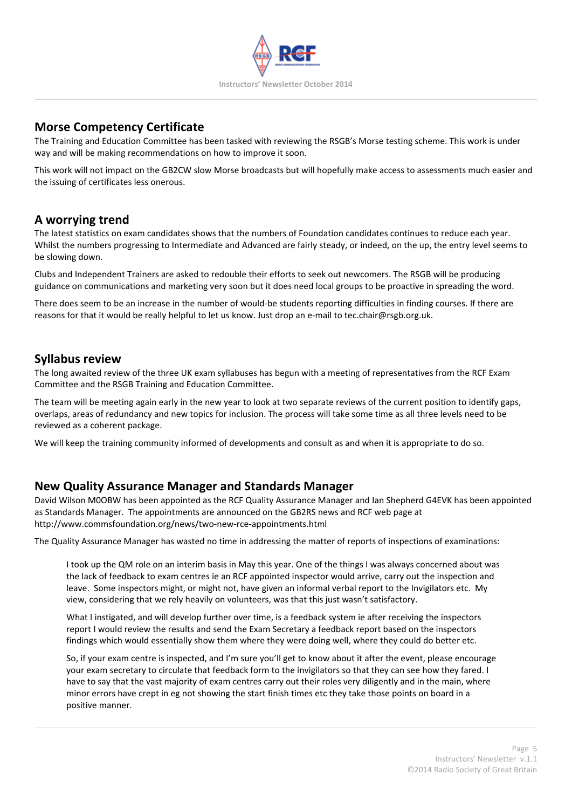

## **Morse Competency Certificate**

The Training and Education Committee has been tasked with reviewing the RSGB's Morse testing scheme. This work is under way and will be making recommendations on how to improve it soon.

This work will not impact on the GB2CW slow Morse broadcasts but will hopefully make access to assessments much easier and the issuing of certificates less onerous.

## **A worrying trend**

The latest statistics on exam candidates shows that the numbers of Foundation candidates continues to reduce each year. Whilst the numbers progressing to Intermediate and Advanced are fairly steady, or indeed, on the up, the entry level seems to be slowing down.

Clubs and Independent Trainers are asked to redouble their efforts to seek out newcomers. The RSGB will be producing guidance on communications and marketing very soon but it does need local groups to be proactive in spreading the word.

There does seem to be an increase in the number of would-be students reporting difficulties in finding courses. If there are reasons for that it would be really helpful to let us know. Just drop an e‐mail to tec.chair@rsgb.org.uk.

#### **Syllabus review**

The long awaited review of the three UK exam syllabuses has begun with a meeting of representatives from the RCF Exam Committee and the RSGB Training and Education Committee.

The team will be meeting again early in the new year to look at two separate reviews of the current position to identify gaps, overlaps, areas of redundancy and new topics for inclusion. The process will take some time as all three levels need to be reviewed as a coherent package.

We will keep the training community informed of developments and consult as and when it is appropriate to do so.

#### **New Quality Assurance Manager and Standards Manager**

David Wilson M0OBW has been appointed as the RCF Quality Assurance Manager and Ian Shepherd G4EVK has been appointed as Standards Manager. The appointments are announced on the GB2RS news and RCF web page at http://www.commsfoundation.org/news/two‐new‐rce‐appointments.html

The Quality Assurance Manager has wasted no time in addressing the matter of reports of inspections of examinations:

I took up the QM role on an interim basis in May this year. One of the things I was always concerned about was the lack of feedback to exam centres ie an RCF appointed inspector would arrive, carry out the inspection and leave. Some inspectors might, or might not, have given an informal verbal report to the Invigilators etc. My view, considering that we rely heavily on volunteers, was that this just wasn't satisfactory.

What I instigated, and will develop further over time, is a feedback system ie after receiving the inspectors report I would review the results and send the Exam Secretary a feedback report based on the inspectors findings which would essentially show them where they were doing well, where they could do better etc.

So, if your exam centre is inspected, and I'm sure you'll get to know about it after the event, please encourage your exam secretary to circulate that feedback form to the invigilators so that they can see how they fared. I have to say that the vast majority of exam centres carry out their roles very diligently and in the main, where minor errors have crept in eg not showing the start finish times etc they take those points on board in a positive manner.